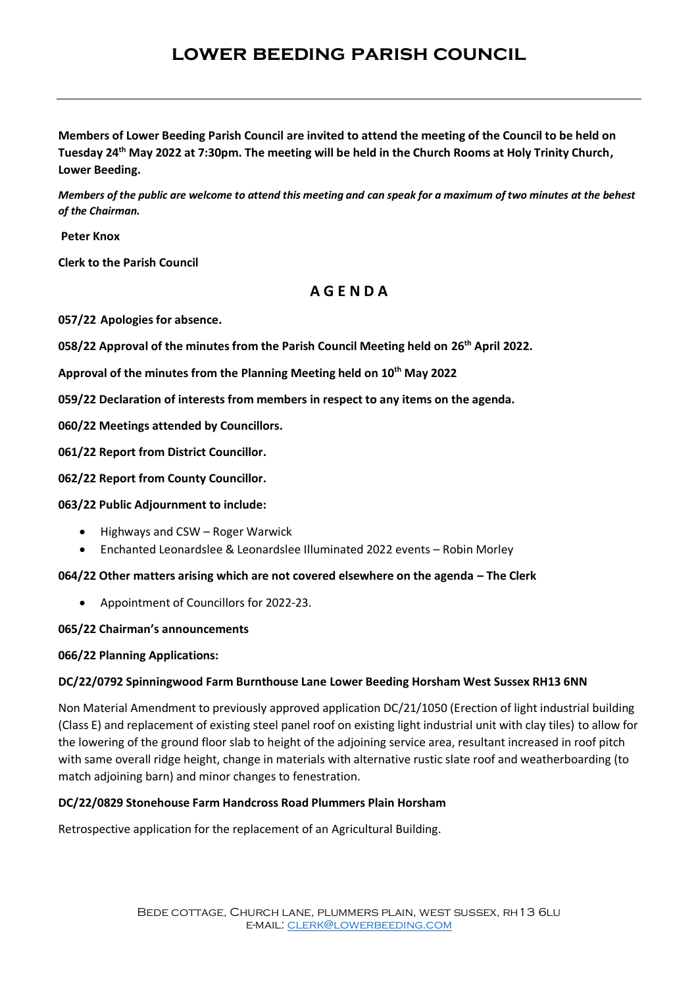# **lower beeding parish council**

**Members of Lower Beeding Parish Council are invited to attend the meeting of the Council to be held on Tuesday 24 th May 2022 at 7:30pm. The meeting will be held in the Church Rooms at Holy Trinity Church, Lower Beeding.**

*Members of the public are welcome to attend this meeting and can speak for a maximum of two minutes at the behest of the Chairman.*

**Peter Knox** 

**Clerk to the Parish Council**

## **A G E N D A**

**057/22 Apologies for absence.**

**058/22 Approval of the minutes from the Parish Council Meeting held on 26th April 2022.**

**Approval of the minutes from the Planning Meeting held on 10th May 2022**

**059/22 Declaration of interests from members in respect to any items on the agenda.** 

**060/22 Meetings attended by Councillors.**

**061/22 Report from District Councillor.**

**062/22 Report from County Councillor.**

#### **063/22 Public Adjournment to include:**

- Highways and CSW Roger Warwick
- Enchanted Leonardslee & Leonardslee Illuminated 2022 events Robin Morley

#### **064/22 Other matters arising which are not covered elsewhere on the agenda – The Clerk**

• Appointment of Councillors for 2022-23.

#### **065/22 Chairman's announcements**

#### **066/22 Planning Applications:**

### **DC/22/0792 Spinningwood Farm Burnthouse Lane Lower Beeding Horsham West Sussex RH13 6NN**

Non Material Amendment to previously approved application DC/21/1050 (Erection of light industrial building (Class E) and replacement of existing steel panel roof on existing light industrial unit with clay tiles) to allow for the lowering of the ground floor slab to height of the adjoining service area, resultant increased in roof pitch with same overall ridge height, change in materials with alternative rustic slate roof and weatherboarding (to match adjoining barn) and minor changes to fenestration.

### **DC/22/0829 Stonehouse Farm Handcross Road Plummers Plain Horsham**

Retrospective application for the replacement of an Agricultural Building.